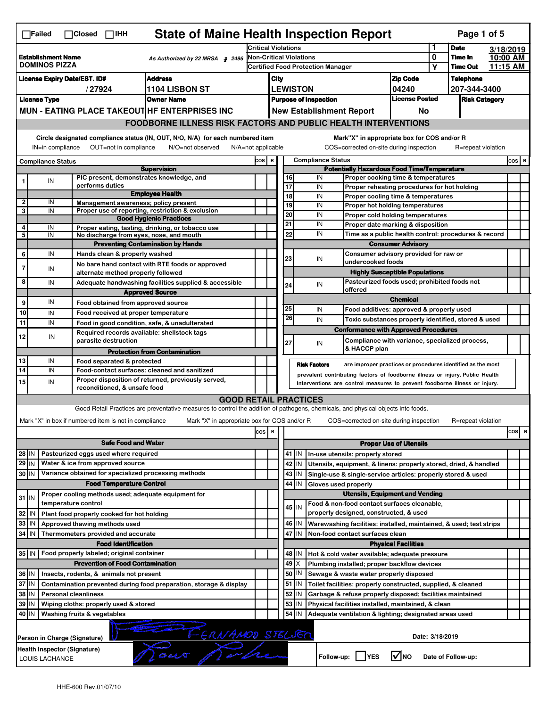| <b>State of Maine Health Inspection Report</b><br>Page 1 of 5<br>$\Box$ Failed<br>$\Box$ Closed $\Box$ IHH                    |                                                |                                                                            |                                                                                                                                   |       |  |                 |                                                                              |                                                                                        |                                                     |                            |                        |  |          |
|-------------------------------------------------------------------------------------------------------------------------------|------------------------------------------------|----------------------------------------------------------------------------|-----------------------------------------------------------------------------------------------------------------------------------|-------|--|-----------------|------------------------------------------------------------------------------|----------------------------------------------------------------------------------------|-----------------------------------------------------|----------------------------|------------------------|--|----------|
| <b>Establishment Name</b><br>As Authorized by 22 MRSA § 2496<br><b>DOMINOS PIZZA</b>                                          |                                                |                                                                            | <b>Critical Violations</b>                                                                                                        |       |  |                 |                                                                              | 1                                                                                      | <b>Date</b>                                         | 3/18/2019                  |                        |  |          |
|                                                                                                                               |                                                |                                                                            | <b>Non-Critical Violations</b><br><b>Certified Food Protection Manager</b>                                                        |       |  |                 |                                                                              |                                                                                        | 0<br>Y                                              | Time In<br><b>Time Out</b> | $10:00$ AM<br>11:15 AM |  |          |
| <b>Address</b>                                                                                                                |                                                |                                                                            |                                                                                                                                   | City  |  |                 |                                                                              | <b>Zip Code</b>                                                                        |                                                     | <b>Telephone</b>           |                        |  |          |
| <b>License Expiry Date/EST. ID#</b><br>1104 LISBON ST<br>/27924                                                               |                                                |                                                                            |                                                                                                                                   |       |  | <b>LEWISTON</b> |                                                                              | 04240                                                                                  |                                                     | 207-344-3400               |                        |  |          |
| <b>License Type</b><br><b>Owner Name</b>                                                                                      |                                                |                                                                            |                                                                                                                                   |       |  |                 | <b>Purpose of Inspection</b>                                                 | <b>License Posted</b>                                                                  |                                                     | <b>Risk Category</b>       |                        |  |          |
|                                                                                                                               |                                                |                                                                            | MUN - EATING PLACE TAKEOUT HF ENTERPRISES INC                                                                                     |       |  |                 |                                                                              | <b>New Establishment Report</b>                                                        | No                                                  |                            |                        |  |          |
|                                                                                                                               |                                                |                                                                            | <b>FOODBORNE ILLNESS RISK FACTORS AND PUBLIC HEALTH INTERVENTIONS</b>                                                             |       |  |                 |                                                                              |                                                                                        |                                                     |                            |                        |  |          |
| Circle designated compliance status (IN, OUT, N/O, N/A) for each numbered item<br>Mark"X" in appropriate box for COS and/or R |                                                |                                                                            |                                                                                                                                   |       |  |                 |                                                                              |                                                                                        |                                                     |                            |                        |  |          |
|                                                                                                                               | IN=in compliance                               | OUT=not in compliance                                                      | N/O=not observed<br>$N/A = not$ applicable                                                                                        |       |  |                 |                                                                              | COS=corrected on-site during inspection                                                |                                                     |                            | R=repeat violation     |  |          |
|                                                                                                                               | <b>Compliance Status</b>                       |                                                                            |                                                                                                                                   | COS R |  |                 |                                                                              | <b>Compliance Status</b>                                                               |                                                     |                            |                        |  | $cos$ R  |
|                                                                                                                               |                                                |                                                                            | <b>Supervision</b>                                                                                                                |       |  |                 |                                                                              | <b>Potentially Hazardous Food Time/Temperature</b>                                     |                                                     |                            |                        |  |          |
| 1                                                                                                                             | IN                                             | PIC present, demonstrates knowledge, and<br>performs duties                |                                                                                                                                   |       |  | 16<br>17        |                                                                              | IN<br>Proper cooking time & temperatures<br>IN                                         | Proper reheating procedures for hot holding         |                            |                        |  |          |
|                                                                                                                               |                                                |                                                                            | <b>Employee Health</b>                                                                                                            |       |  | 18              |                                                                              | IN                                                                                     | Proper cooling time & temperatures                  |                            |                        |  |          |
| 2<br>3                                                                                                                        | IN                                             | Management awareness: policy present                                       |                                                                                                                                   |       |  | 19              |                                                                              | IN<br>Proper hot holding temperatures                                                  |                                                     |                            |                        |  |          |
|                                                                                                                               | IN                                             |                                                                            | Proper use of reporting, restriction & exclusion<br><b>Good Hygienic Practices</b>                                                |       |  | 20              |                                                                              | IN                                                                                     | Proper cold holding temperatures                    |                            |                        |  |          |
| 4                                                                                                                             | IN                                             |                                                                            | Proper eating, tasting, drinking, or tobacco use                                                                                  |       |  | 21              |                                                                              | IN                                                                                     | Proper date marking & disposition                   |                            |                        |  |          |
| 5                                                                                                                             | IN                                             | No discharge from eyes, nose, and mouth                                    |                                                                                                                                   |       |  | 22              |                                                                              | IN<br>Time as a public health control: procedures & record<br><b>Consumer Advisory</b> |                                                     |                            |                        |  |          |
| 6                                                                                                                             | IN                                             | Hands clean & properly washed                                              | <b>Preventing Contamination by Hands</b>                                                                                          |       |  |                 |                                                                              |                                                                                        | Consumer advisory provided for raw or               |                            |                        |  |          |
|                                                                                                                               |                                                |                                                                            | No bare hand contact with RTE foods or approved                                                                                   |       |  | 23              |                                                                              | IN<br>undercooked foods                                                                |                                                     |                            |                        |  |          |
| 7                                                                                                                             | IN                                             | alternate method properly followed                                         |                                                                                                                                   |       |  |                 |                                                                              |                                                                                        | <b>Highly Susceptible Populations</b>               |                            |                        |  |          |
| 8                                                                                                                             | IN                                             |                                                                            | Adequate handwashing facilities supplied & accessible                                                                             |       |  | 24              |                                                                              | IN                                                                                     | Pasteurized foods used; prohibited foods not        |                            |                        |  |          |
|                                                                                                                               |                                                | offered<br><b>Approved Source</b><br><b>Chemical</b>                       |                                                                                                                                   |       |  |                 |                                                                              |                                                                                        |                                                     |                            |                        |  |          |
| 9                                                                                                                             | IN                                             | Food obtained from approved source                                         |                                                                                                                                   |       |  | 25              |                                                                              | IN                                                                                     | Food additives: approved & properly used            |                            |                        |  |          |
| 10                                                                                                                            | IN                                             | Food received at proper temperature                                        |                                                                                                                                   |       |  | 26              |                                                                              | IN                                                                                     | Toxic substances properly identified, stored & used |                            |                        |  |          |
| 11                                                                                                                            | IN                                             |                                                                            | Food in good condition, safe, & unadulterated                                                                                     |       |  |                 |                                                                              | <b>Conformance with Approved Procedures</b>                                            |                                                     |                            |                        |  |          |
| 12                                                                                                                            | IN                                             | Required records available: shellstock tags<br>parasite destruction        |                                                                                                                                   |       |  | 27              |                                                                              | IN                                                                                     | Compliance with variance, specialized process,      |                            |                        |  |          |
|                                                                                                                               |                                                |                                                                            | <b>Protection from Contamination</b>                                                                                              |       |  |                 |                                                                              | & HACCP plan                                                                           |                                                     |                            |                        |  |          |
| 13<br>IN<br>Food separated & protected                                                                                        |                                                |                                                                            |                                                                                                                                   |       |  |                 |                                                                              | <b>Risk Factors</b><br>are improper practices or procedures identified as the most     |                                                     |                            |                        |  |          |
| 14<br>IN<br>Food-contact surfaces: cleaned and sanitized                                                                      |                                                |                                                                            |                                                                                                                                   |       |  |                 | prevalent contributing factors of foodborne illness or injury. Public Health |                                                                                        |                                                     |                            |                        |  |          |
| Proper disposition of returned, previously served,<br>15<br>IN<br>reconditioned, & unsafe food                                |                                                |                                                                            |                                                                                                                                   |       |  |                 | Interventions are control measures to prevent foodborne illness or injury.   |                                                                                        |                                                     |                            |                        |  |          |
|                                                                                                                               |                                                |                                                                            | <b>GOOD RETAIL PRACTICES</b>                                                                                                      |       |  |                 |                                                                              |                                                                                        |                                                     |                            |                        |  |          |
|                                                                                                                               |                                                |                                                                            | Good Retail Practices are preventative measures to control the addition of pathogens, chemicals, and physical objects into foods. |       |  |                 |                                                                              |                                                                                        |                                                     |                            |                        |  |          |
|                                                                                                                               |                                                | Mark "X" in box if numbered item is not in compliance                      | Mark "X" in appropriate box for COS and/or R                                                                                      |       |  |                 |                                                                              | COS=corrected on-site during inspection                                                |                                                     |                            | R=repeat violation     |  |          |
|                                                                                                                               |                                                |                                                                            |                                                                                                                                   | cos R |  |                 |                                                                              |                                                                                        |                                                     |                            |                        |  | cos<br>R |
|                                                                                                                               |                                                | <b>Safe Food and Water</b>                                                 |                                                                                                                                   |       |  |                 |                                                                              |                                                                                        | <b>Proper Use of Utensils</b>                       |                            |                        |  |          |
| 28 IN                                                                                                                         |                                                | Pasteurized eggs used where required                                       |                                                                                                                                   |       |  |                 | 41 J IN                                                                      | In-use utensils: properly stored                                                       |                                                     |                            |                        |  |          |
| 29 IN                                                                                                                         |                                                | Water & ice from approved source                                           |                                                                                                                                   |       |  |                 | 42 IN                                                                        | Utensils, equipment, & linens: properly stored, dried, & handled                       |                                                     |                            |                        |  |          |
| 30 IN                                                                                                                         |                                                | Variance obtained for specialized processing methods                       |                                                                                                                                   |       |  |                 | 43 IN                                                                        | Single-use & single-service articles: properly stored & used                           |                                                     |                            |                        |  |          |
|                                                                                                                               |                                                | <b>Food Temperature Control</b>                                            |                                                                                                                                   |       |  |                 | 44<br>IN                                                                     | Gloves used properly                                                                   |                                                     |                            |                        |  |          |
| $31$ IN                                                                                                                       |                                                | Proper cooling methods used; adequate equipment for<br>temperature control |                                                                                                                                   |       |  |                 |                                                                              | <b>Utensils, Equipment and Vending</b><br>Food & non-food contact surfaces cleanable,  |                                                     |                            |                        |  |          |
| 32 IN                                                                                                                         |                                                | Plant food properly cooked for hot holding                                 |                                                                                                                                   |       |  |                 | 45 IN                                                                        | properly designed, constructed, & used                                                 |                                                     |                            |                        |  |          |
| 33 IN                                                                                                                         |                                                | Approved thawing methods used                                              |                                                                                                                                   |       |  |                 | 46 IN                                                                        | Warewashing facilities: installed, maintained, & used; test strips                     |                                                     |                            |                        |  |          |
| 34 IN<br>Thermometers provided and accurate                                                                                   |                                                |                                                                            |                                                                                                                                   |       |  |                 | 47 IN                                                                        | Non-food contact surfaces clean                                                        |                                                     |                            |                        |  |          |
|                                                                                                                               | <b>Food Identification</b>                     |                                                                            |                                                                                                                                   |       |  |                 |                                                                              | <b>Physical Facilities</b>                                                             |                                                     |                            |                        |  |          |
|                                                                                                                               |                                                | 35 IN   Food properly labeled; original container                          |                                                                                                                                   |       |  |                 | 48<br>IN                                                                     | Hot & cold water available; adequate pressure                                          |                                                     |                            |                        |  |          |
|                                                                                                                               |                                                |                                                                            |                                                                                                                                   |       |  |                 |                                                                              | Plumbing installed; proper backflow devices                                            |                                                     |                            |                        |  |          |
|                                                                                                                               |                                                | <b>Prevention of Food Contamination</b>                                    |                                                                                                                                   |       |  | 49              | ΙX                                                                           |                                                                                        |                                                     |                            |                        |  |          |
| 36 IN                                                                                                                         |                                                | Insects, rodents, & animals not present                                    |                                                                                                                                   |       |  |                 | 50 <br>IN.                                                                   | Sewage & waste water properly disposed                                                 |                                                     |                            |                        |  |          |
| 37 IN                                                                                                                         |                                                |                                                                            | Contamination prevented during food preparation, storage & display                                                                |       |  |                 | $51$ $\vert$ IN                                                              | Toilet facilities: properly constructed, supplied, & cleaned                           |                                                     |                            |                        |  |          |
| 38 IN                                                                                                                         |                                                | <b>Personal cleanliness</b>                                                |                                                                                                                                   |       |  | 52              | IN                                                                           | Garbage & refuse properly disposed; facilities maintained                              |                                                     |                            |                        |  |          |
| 39 IN<br>40 IN                                                                                                                |                                                | Wiping cloths: properly used & stored                                      |                                                                                                                                   |       |  | 53<br>54        | IN<br>IN                                                                     | Physical facilities installed, maintained, & clean                                     |                                                     |                            |                        |  |          |
|                                                                                                                               |                                                | Washing fruits & vegetables                                                |                                                                                                                                   |       |  |                 |                                                                              | Adequate ventilation & lighting; designated areas used                                 |                                                     |                            |                        |  |          |
|                                                                                                                               |                                                |                                                                            |                                                                                                                                   |       |  |                 |                                                                              |                                                                                        | Date: 3/18/2019                                     |                            |                        |  |          |
|                                                                                                                               | Health Inspector (Signature)<br>LOUIS LACHANCE | Person in Charge (Signature)                                               | FERNANDO STELSER                                                                                                                  |       |  |                 |                                                                              | Follow-up: YES                                                                         | $\sqrt{N}$ NO                                       |                            | Date of Follow-up:     |  |          |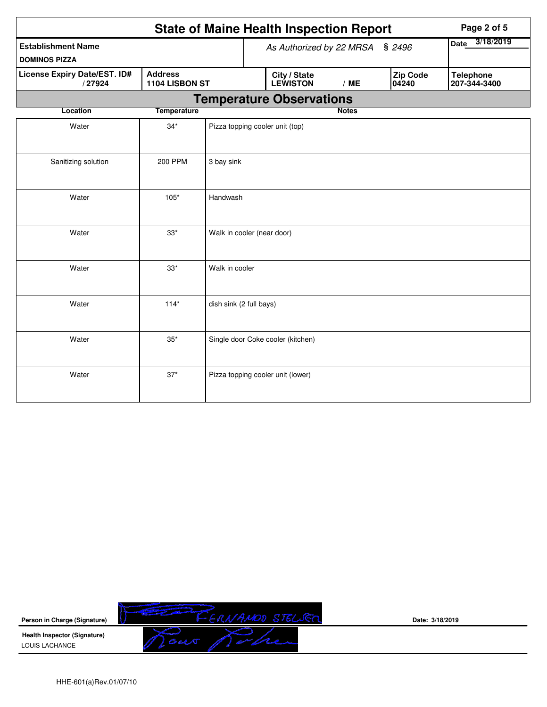|                                               |                                  |                            | <b>State of Maine Health Inspection Report</b> |                          |                          | Page 2 of 5                      |
|-----------------------------------------------|----------------------------------|----------------------------|------------------------------------------------|--------------------------|--------------------------|----------------------------------|
| <b>Establishment Name</b>                     |                                  |                            | As Authorized by 22 MRSA § 2496                | 3/18/2019<br><b>Date</b> |                          |                                  |
| <b>DOMINOS PIZZA</b>                          |                                  |                            |                                                |                          |                          |                                  |
| <b>License Expiry Date/EST. ID#</b><br>/27924 | <b>Address</b><br>1104 LISBON ST |                            | City / State<br><b>LEWISTON</b>                | /ME                      | <b>Zip Code</b><br>04240 | <b>Telephone</b><br>207-344-3400 |
|                                               |                                  |                            | <b>Temperature Observations</b>                |                          |                          |                                  |
| Location                                      | <b>Temperature</b>               |                            |                                                | <b>Notes</b>             |                          |                                  |
| Water                                         | $34*$                            |                            | Pizza topping cooler unit (top)                |                          |                          |                                  |
| Sanitizing solution                           | <b>200 PPM</b>                   | 3 bay sink                 |                                                |                          |                          |                                  |
| Water                                         | $105*$                           | Handwash                   |                                                |                          |                          |                                  |
| Water                                         | $33*$                            | Walk in cooler (near door) |                                                |                          |                          |                                  |
| Water                                         | $33*$                            | Walk in cooler             |                                                |                          |                          |                                  |
| Water                                         | $114*$                           | dish sink (2 full bays)    |                                                |                          |                          |                                  |
| Water                                         | $35*$                            |                            | Single door Coke cooler (kitchen)              |                          |                          |                                  |
| Water                                         | $37*$                            |                            | Pizza topping cooler unit (lower)              |                          |                          |                                  |



**Date: 3/18/2019**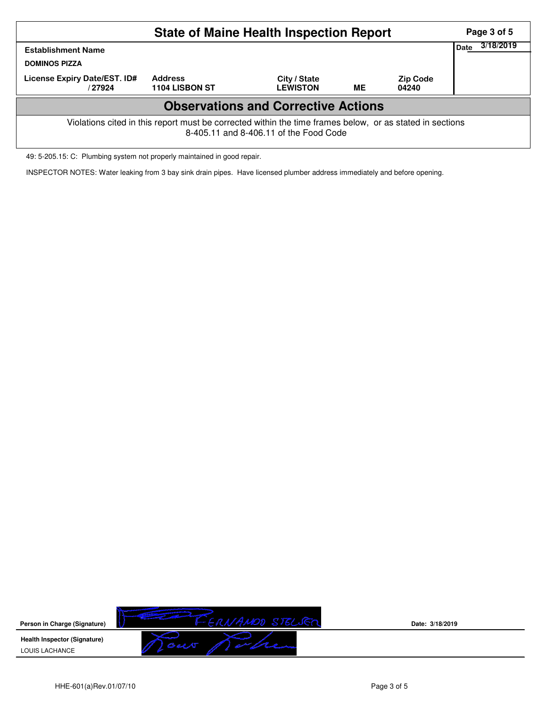|                                                                                                                                                    | Page 3 of 5                      |                                 |           |                          |                   |  |  |  |  |  |
|----------------------------------------------------------------------------------------------------------------------------------------------------|----------------------------------|---------------------------------|-----------|--------------------------|-------------------|--|--|--|--|--|
| <b>Establishment Name</b><br><b>DOMINOS PIZZA</b>                                                                                                  |                                  |                                 |           |                          | 3/18/2019<br>Date |  |  |  |  |  |
| License Expiry Date/EST. ID#<br>/ 27924                                                                                                            | <b>Address</b><br>1104 LISBON ST | City / State<br><b>LEWISTON</b> | <b>ME</b> | <b>Zip Code</b><br>04240 |                   |  |  |  |  |  |
| <b>Observations and Corrective Actions</b>                                                                                                         |                                  |                                 |           |                          |                   |  |  |  |  |  |
| Violations cited in this report must be corrected within the time frames below, or as stated in sections<br>8-405.11 and 8-406.11 of the Food Code |                                  |                                 |           |                          |                   |  |  |  |  |  |

49: 5-205.15: C: Plumbing system not properly maintained in good repair.

INSPECTOR NOTES: Water leaking from 3 bay sink drain pipes. Have licensed plumber address immediately and before opening.



**Date: 3/18/2019**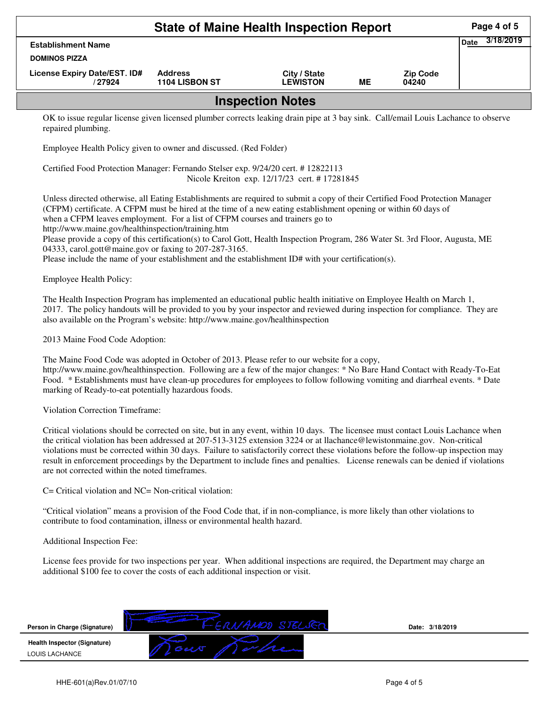|                                                                                                                                                                             | <b>State of Maine Health Inspection Report</b>                                                                                |                                              |           |                          | Page 4 of 5       |
|-----------------------------------------------------------------------------------------------------------------------------------------------------------------------------|-------------------------------------------------------------------------------------------------------------------------------|----------------------------------------------|-----------|--------------------------|-------------------|
| <b>Establishment Name</b><br><b>DOMINOS PIZZA</b>                                                                                                                           |                                                                                                                               |                                              |           |                          | 3/18/2019<br>Date |
| License Expiry Date/EST. ID#<br>/27924                                                                                                                                      | <b>Address</b><br>1104 LISBON ST                                                                                              | City / State<br><b>LEWISTON</b>              | <b>ME</b> | <b>Zip Code</b><br>04240 |                   |
|                                                                                                                                                                             |                                                                                                                               | <b>Inspection Notes</b>                      |           |                          |                   |
| repaired plumbing.<br>Employee Health Policy given to owner and discussed. (Red Folder)<br>Certified Food Protection Manager: Fernando Stelser exp. 9/24/20 cert. #12822113 |                                                                                                                               | Nicole Kreiton exp. 12/17/23 cert. #17281845 |           |                          |                   |
|                                                                                                                                                                             | Unless directed otherwise, all Eating Establishments are required to submit a copy of their Certified Food Protection Manager |                                              |           |                          |                   |

Employee Health Policy:

The Health Inspection Program has implemented an educational public health initiative on Employee Health on March 1, 2017. The policy handouts will be provided to you by your inspector and reviewed during inspection for compliance. They are also available on the Program's website: http://www.maine.gov/healthinspection

2013 Maine Food Code Adoption:

The Maine Food Code was adopted in October of 2013. Please refer to our website for a copy, http://www.maine.gov/healthinspection. Following are a few of the major changes: \* No Bare Hand Contact with Ready-To-Eat Food. \* Establishments must have clean-up procedures for employees to follow following vomiting and diarrheal events. \* Date marking of Ready-to-eat potentially hazardous foods.

Violation Correction Timeframe:

Critical violations should be corrected on site, but in any event, within 10 days. The licensee must contact Louis Lachance when the critical violation has been addressed at 207-513-3125 extension 3224 or at llachance@lewistonmaine.gov. Non-critical violations must be corrected within 30 days. Failure to satisfactorily correct these violations before the follow-up inspection may result in enforcement proceedings by the Department to include fines and penalties. License renewals can be denied if violations are not corrected within the noted timeframes.

C= Critical violation and NC= Non-critical violation:

"Critical violation" means a provision of the Food Code that, if in non-compliance, is more likely than other violations to contribute to food contamination, illness or environmental health hazard.

Additional Inspection Fee:

License fees provide for two inspections per year. When additional inspections are required, the Department may charge an additional \$100 fee to cover the costs of each additional inspection or visit.